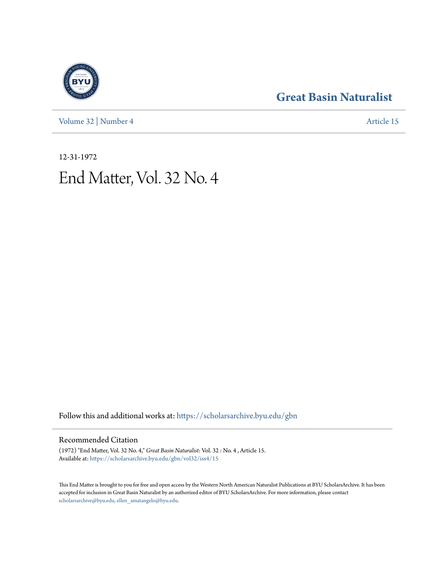[Volume 32](https://scholarsarchive.byu.edu/gbn/vol32?utm_source=scholarsarchive.byu.edu%2Fgbn%2Fvol32%2Fiss4%2F15&utm_medium=PDF&utm_campaign=PDFCoverPages) | [Number 4](https://scholarsarchive.byu.edu/gbn/vol32/iss4?utm_source=scholarsarchive.byu.edu%2Fgbn%2Fvol32%2Fiss4%2F15&utm_medium=PDF&utm_campaign=PDFCoverPages) [Article 15](https://scholarsarchive.byu.edu/gbn/vol32/iss4/15?utm_source=scholarsarchive.byu.edu%2Fgbn%2Fvol32%2Fiss4%2F15&utm_medium=PDF&utm_campaign=PDFCoverPages)

# **[Great Basin Naturalist](https://scholarsarchive.byu.edu/gbn?utm_source=scholarsarchive.byu.edu%2Fgbn%2Fvol32%2Fiss4%2F15&utm_medium=PDF&utm_campaign=PDFCoverPages)**

12-31-1972 End Matter, Vol. 32 No. 4

Follow this and additional works at: [https://scholarsarchive.byu.edu/gbn](https://scholarsarchive.byu.edu/gbn?utm_source=scholarsarchive.byu.edu%2Fgbn%2Fvol32%2Fiss4%2F15&utm_medium=PDF&utm_campaign=PDFCoverPages)

## Recommended Citation

(1972) "End Matter, Vol. 32 No. 4," *Great Basin Naturalist*: Vol. 32 : No. 4 , Article 15. Available at: [https://scholarsarchive.byu.edu/gbn/vol32/iss4/15](https://scholarsarchive.byu.edu/gbn/vol32/iss4/15?utm_source=scholarsarchive.byu.edu%2Fgbn%2Fvol32%2Fiss4%2F15&utm_medium=PDF&utm_campaign=PDFCoverPages)

This End Matter is brought to you for free and open access by the Western North American Naturalist Publications at BYU ScholarsArchive. It has been accepted for inclusion in Great Basin Naturalist by an authorized editor of BYU ScholarsArchive. For more information, please contact [scholarsarchive@byu.edu, ellen\\_amatangelo@byu.edu.](mailto:scholarsarchive@byu.edu,%20ellen_amatangelo@byu.edu)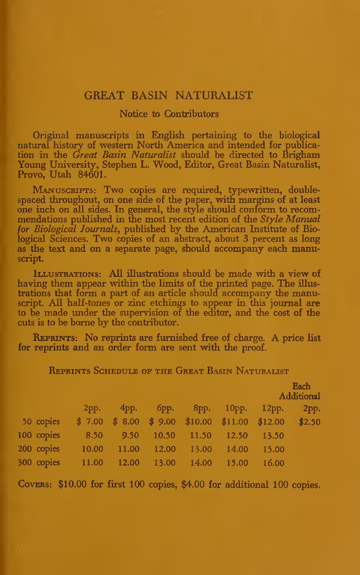### GREAT BASIN NATURALIST

#### Notice to Contributors

Original manuscripts in English pertaining to the biological natural history of western North America and intended for publication in the Great Basin Naturalist should be directed to Brigham Young University, Stephen L. Wood, Editor, Great Basin Naturalist, Provo, Utah 84601.

MANUSCRIPTS: Two copies are required, typewritten, doublespaced throughout, on one side of the paper, with margins of at least one inch on all sides. In general, the style should conform to recom mendations published in the most recent edition of the  $Style$  Manual for Biological Journals, published by the American Institute of Biological Sciences. Two copies of an abstract, about 3 percent as long as the text and on a separate page, should accompany each manuscript.

Illustrations: AU illustrations should be made with <sup>a</sup> view of having them appear within the limits of the printed page. The illus trations that form a part of an article should accompany the manuscript. All half-tones or zinc etchings to appear in this journal are to be made under the supervision of the editor, and the cost of the cuts is to be borne by the contributor.

Reprints: No reprints are furnished free of charge. A price list for reprints and an order form are sent with the proof.

|            |                                                      |       |                         |                   |       | Each<br>Additional |      |
|------------|------------------------------------------------------|-------|-------------------------|-------------------|-------|--------------------|------|
|            | 2pp.                                                 | 4pp.  |                         | брр. 8рр.         |       | 10pp. 12pp.        | 2pp. |
| 50 copies  | $$7.00 \$8.00 \$9.00 \$10.00 \$11.00 \$12.00 \$2.50$ |       |                         |                   |       |                    |      |
| 100 copies | 8.50                                                 | 9.50  |                         | 10.50 11.50 12.50 |       | 13.50              |      |
| 200 copies | 10.00                                                | 11.00 | 12.00                   | 13.00             | 14.00 | 15.00              |      |
|            | 00 copies 11.00                                      |       | 12.00 13.00 14.00 15.00 |                   |       | 16.00              |      |
|            |                                                      |       |                         |                   |       |                    |      |

Reprints Schedule of the Great Basin Naturalist

COVERS: \$10.00 for first 100 copies, \$4.00 for additional 100 copies.